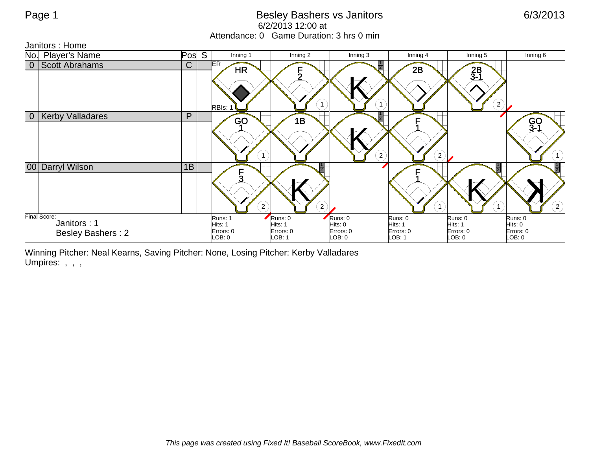## Page 1 **Besley Bashers vs Janitors** 6/3/2013 6/2/2013 12:00 at Attendance: 0 Game Duration: 3 hrs 0 min

Janitors : Home



Winning Pitcher: Neal Kearns, Saving Pitcher: None, Losing Pitcher: Kerby Valladares Umpires: , , ,